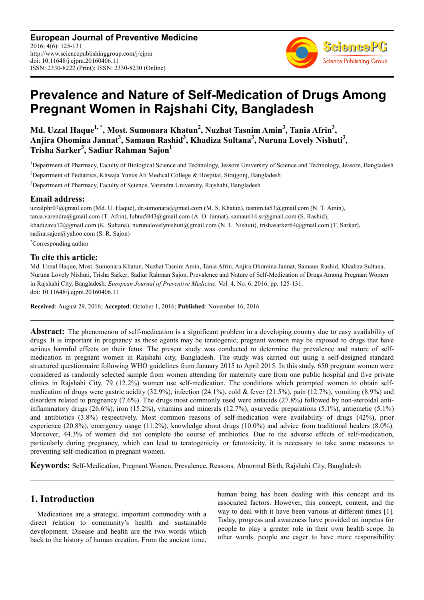**European Journal of Preventive Medicine** 2016; 4(6): 125-131 http://www.sciencepublishinggroup.com/j/ejpm doi: 10.11648/j.ejpm.20160406.11 ISSN: 2330-8222 (Print); ISSN: 2330-8230 (Online)



# **Prevalence and Nature of Self-Medication of Drugs Among Pregnant Women in Rajshahi City, Bangladesh**

**Md. Uzzal Haque1, \*, Most. Sumonara Khatun<sup>2</sup> , Nuzhat Tasnim Amin<sup>3</sup> , Tania Afrin<sup>3</sup> , Anjira Ohomina Jannat<sup>3</sup> , Samaun Rashid<sup>3</sup> , Khadiza Sultana<sup>3</sup> , Nuruna Lovely Nishuti<sup>3</sup> , Trisha Sarker<sup>3</sup> , Sadiur Rahman Sajon<sup>1</sup>**

<sup>1</sup>Department of Pharmacy, Faculty of Biological Science and Technology, Jessore University of Science and Technology, Jessore, Bangladesh <sup>2</sup>Department of Pediatrics, Khwaja Yunus Ali Medical College & Hospital, Sirajgonj, Bangladesh <sup>3</sup>Department of Pharmacy, Faculty of Science, Varendra University, Rajshahi, Bangladesh

#### **Email address:**

uzzalphr07@gmail.com (Md. U. Haque), dr.sumonara@gmail.com (M. S. Khatun), tasnim.ta53@gmail.com (N. T. Amin), tania.varendra@gmail.com (T. Afrin), lubna5843@gmail.com (A. O. Jannat), samaun14.sr@gmail.com (S. Rashid), khadizavu12@gmail.com (K. Sultana), nurunalovelynishuti@gmail.com (N. L. Nishuti), trishasarker64@gmail.com (T. Sarkar), sadiur.sajon@yahoo.com (S. R. Sajon)

\*Corresponding author

#### **To cite this article:**

Md. Uzzal Haque, Most. Sumonara Khatun, Nuzhat Tasnim Amin, Tania Afrin, Anjira Ohomina Jannat, Samaun Rashid, Khadiza Sultana, Nuruna Lovely Nishuti, Trisha Sarker, Sadiur Rahman Sajon. Prevalence and Nature of Self-Medication of Drugs Among Pregnant Women in Rajshahi City, Bangladesh. *European Journal of Preventive Medicine.* Vol. 4, No. 6, 2016, pp. 125-131. doi: 10.11648/j.ejpm.20160406.11

**Received**: August 29, 2016; **Accepted**: October 1, 2016; **Published**: November 16, 2016

**Abstract:** The phenomenon of self-medication is a significant problem in a developing country due to easy availability of drugs. It is important in pregnancy as these agents may be teratogenic; pregnant women may be exposed to drugs that have serious harmful effects on their fetus. The present study was conducted to determine the prevalence and nature of selfmedication in pregnant women in Rajshahi city, Bangladesh. The study was carried out using a self-designed standard structured questionnaire following WHO guidelines from January 2015 to April 2015. In this study, 650 pregnant women were considered as randomly selected sample from women attending for maternity care from one public hospital and five private clinics in Rajshahi City. 79 (12.2%) women use self-medication. The conditions which prompted women to obtain selfmedication of drugs were gastric acidity  $(32.9\%)$ , infection  $(24.1\%)$ , cold & fever  $(21.5\%)$ , pain  $(12.7\%)$ , vomiting  $(8.9\%)$  and disorders related to pregnancy (7.6%). The drugs most commonly used were antacids (27.8%) followed by non-steroidal antiinflammatory drugs (26.6%), iron (15.2%), vitamins and minerals (12.7%), ayurvedic preparations (5.1%), antiemetic (5.1%) and antibiotics (3.8%) respectively. Most common reasons of self-medication were availability of drugs (42%), prior experience  $(20.8\%)$ , emergency usage  $(11.2\%)$ , knowledge about drugs  $(10.0\%)$  and advice from traditional healers  $(8.0\%)$ . Moreover, 44.3% of women did not complete the course of antibiotics. Due to the adverse effects of self-medication, particularly during pregnancy, which can lead to teratogenicity or fetotoxicity, it is necessary to take some measures to preventing self-medication in pregnant women.

**Keywords:** Self-Medication, Pregnant Women, Prevalence, Reasons, Abnormal Birth, Rajshahi City, Bangladesh

# **1. Introduction**

Medications are a strategic, important commodity with a direct relation to community's health and sustainable development. Disease and health are the two words which back to the history of human creation. From the ancient time, human being has been dealing with this concept and its associated factors. However, this concept, content, and the way to deal with it have been various at different times [1]. Today, progress and awareness have provided an impetus for people to play a greater role in their own health scope. In other words, people are eager to have more responsibility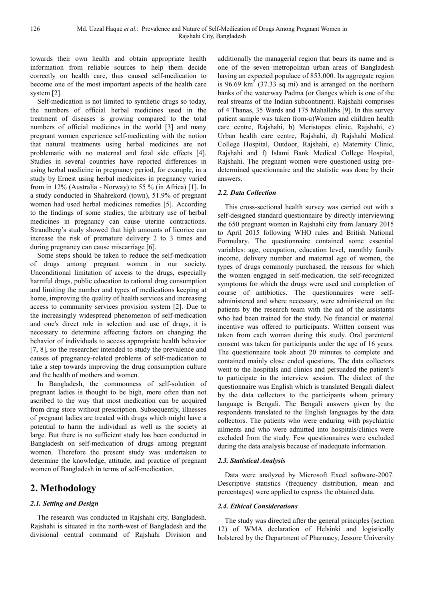towards their own health and obtain appropriate health information from reliable sources to help them decide correctly on health care, thus caused self-medication to become one of the most important aspects of the health care system [2].

Self-medication is not limited to synthetic drugs so today, the numbers of official herbal medicines used in the treatment of diseases is growing compared to the total numbers of official medicines in the world [3] and many pregnant women experience self-medicating with the notion that natural treatments using herbal medicines are not problematic with no maternal and fetal side effects [4]. Studies in several countries have reported differences in using herbal medicine in pregnancy period, for example, in a study by Ernest using herbal medicines in pregnancy varied from in 12% (Australia - Norway) to 55 % (in Africa) [1]. In a study conducted in Shahrekord (town), 51.9% of pregnant women had used herbal medicines remedies [5]. According to the findings of some studies, the arbitrary use of herbal medicines in pregnancy can cause uterine contractions. Strandberg's study showed that high amounts of licorice can increase the risk of premature delivery 2 to 3 times and during pregnancy can cause miscarriage [6].

Some steps should be taken to reduce the self-medication of drugs among pregnant women in our society. Unconditional limitation of access to the drugs, especially harmful drugs, public education to rational drug consumption and limiting the number and types of medications keeping at home, improving the quality of health services and increasing access to community services provision system [2]. Due to the increasingly widespread phenomenon of self-medication and one's direct role in selection and use of drugs, it is necessary to determine affecting factors on changing the behavior of individuals to access appropriate health behavior [7, 8], so the researcher intended to study the prevalence and causes of pregnancy-related problems of self-medication to take a step towards improving the drug consumption culture and the health of mothers and women.

In Bangladesh, the commonness of self-solution of pregnant ladies is thought to be high, more often than not ascribed to the way that most medication can be acquired from drug store without prescription. Subsequently, illnesses of pregnant ladies are treated with drugs which might have a potential to harm the individual as well as the society at large. But there is no sufficient study has been conducted in Bangladesh on self-medication of drugs among pregnant women. Therefore the present study was undertaken to determine the knowledge, attitude, and practice of pregnant women of Bangladesh in terms of self-medication.

# **2. Methodology**

#### *2.1. Setting and Design*

The research was conducted in Rajshahi city, Bangladesh. Rajshahi is situated in the north-west of Bangladesh and the divisional central command of Rajshahi Division and additionally the managerial region that bears its name and is one of the seven metropolitan urban areas of Bangladesh having an expected populace of 853,000. Its aggregate region is  $96.69 \text{ km}^2$  (37.33 sq mi) and is arranged on the northern banks of the waterway Padma (or Ganges which is one of the real streams of the Indian subcontinent). Rajshahi comprises of 4 Thanas, 35 Wards and 175 Mahallahs [9]. In this survey patient sample was taken from-a)Women and children health care centre, Rajshahi, b) Meristopes clinic, Rajshahi, c) Urban health care centre, Rajshahi, d) Rajshahi Medical College Hospital, Outdoor, Rajshahi, e) Maternity Clinic, Rajshahi and f) Islami Bank Medical College Hospital, Rajshahi. The pregnant women were questioned using predetermined questionnaire and the statistic was done by their answers.

#### *2.2. Data Collection*

This cross-sectional health survey was carried out with a self-designed standard questionnaire by directly interviewing the 650 pregnant women in Rajshahi city from January 2015 to April 2015 following WHO rules and British National Formulary. The questionnaire contained some essential variables: age, occupation, education level, monthly family income, delivery number and maternal age of women, the types of drugs commonly purchased, the reasons for which the women engaged in self-medication, the self-recognized symptoms for which the drugs were used and completion of course of antibiotics. The questionnaires were selfadministered and where necessary, were administered on the patients by the research team with the aid of the assistants who had been trained for the study. No financial or material incentive was offered to participants. Written consent was taken from each woman during this study. Oral parenteral consent was taken for participants under the age of 16 years. The questionnaire took about 20 minutes to complete and contained mainly close ended questions. The data collectors went to the hospitals and clinics and persuaded the patient's to participate in the interview session. The dialect of the questionnaire was English which is translated Bengali dialect by the data collectors to the participants whom primary language is Bengali. The Bengali answers given by the respondents translated to the English languages by the data collectors. The patients who were enduring with psychiatric ailments and who were admitted into hospitals/clinics were excluded from the study. Few questionnaires were excluded during the data analysis because of inadequate information.

#### *2.3. Statistical Analysis*

Data were analyzed by Microsoft Excel software-2007. Descriptive statistics (frequency distribution, mean and percentages) were applied to express the obtained data.

#### *2.4. Ethical Considerations*

The study was directed after the general principles (section 12) of WMA declaration of Helsinki and logistically bolstered by the Department of Pharmacy, Jessore University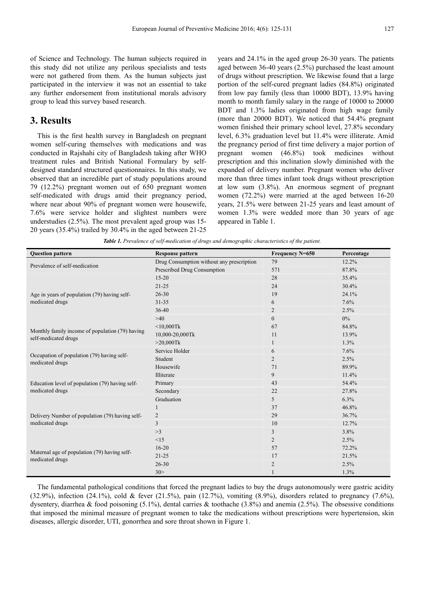of Science and Technology. The human subjects required in this study did not utilize any perilous specialists and tests were not gathered from them. As the human subjects just participated in the interview it was not an essential to take any further endorsement from institutional morals advisory group to lead this survey based research.

### **3. Results**

This is the first health survey in Bangladesh on pregnant women self-curing themselves with medications and was conducted in Rajshahi city of Bangladesh taking after WHO treatment rules and British National Formulary by selfdesigned standard structured questionnaires. In this study, we observed that an incredible part of study populations around 79 (12.2%) pregnant women out of 650 pregnant women self-medicated with drugs amid their pregnancy period, where near about 90% of pregnant women were housewife, 7.6% were service holder and slightest numbers were understudies (2.5%). The most prevalent aged group was 15- 20 years (35.4%) trailed by 30.4% in the aged between 21-25 years and 24.1% in the aged group 26-30 years. The patients aged between 36-40 years (2.5%) purchased the least amount of drugs without prescription. We likewise found that a large portion of the self-cured pregnant ladies (84.8%) originated from low pay family (less than 10000 BDT), 13.9% having month to month family salary in the range of 10000 to 20000 BDT and 1.3% ladies originated from high wage family (more than 20000 BDT). We noticed that 54.4% pregnant women finished their primary school level, 27.8% secondary level, 6.3% graduation level but 11.4% were illiterate. Amid the pregnancy period of first time delivery a major portion of pregnant women (46.8%) took medicines without prescription and this inclination slowly diminished with the expanded of delivery number. Pregnant women who deliver more than three times infant took drugs without prescription at low sum (3.8%). An enormous segment of pregnant women (72.2%) were married at the aged between 16-20 years, 21.5% were between 21-25 years and least amount of women 1.3% were wedded more than 30 years of age appeared in Table 1.

*Table 1. Prevalence of self-medication of drugs and demographic characteristics of the patient.* 

| <b>Question pattern</b>                                                 | <b>Response pattern</b>                   | Frequency N=650 | Percentage |
|-------------------------------------------------------------------------|-------------------------------------------|-----------------|------------|
| Prevalence of self-medication                                           | Drug Consumption without any prescription | 79              | 12.2%      |
|                                                                         | Prescribed Drug Consumption               | 571             | 87.8%      |
| Age in years of population (79) having self-<br>medicated drugs         | $15 - 20$                                 | 28              | 35.4%      |
|                                                                         | $21 - 25$                                 | 24              | 30.4%      |
|                                                                         | $26 - 30$                                 | 19              | 24.1%      |
|                                                                         | $31 - 35$                                 | 6               | 7.6%       |
|                                                                         | 36-40                                     | 2               | 2.5%       |
|                                                                         | >40                                       | $\mathbf{0}$    | $0\%$      |
| Monthly family income of population (79) having<br>self-medicated drugs | $<$ 10,000Tk                              | 67              | 84.8%      |
|                                                                         | 10,000-20,000Tk                           | 11              | 13.9%      |
|                                                                         | $>20,000$ Tk                              | 1               | 1.3%       |
| Occupation of population (79) having self-<br>medicated drugs           | Service Holder                            | 6               | 7.6%       |
|                                                                         | Student                                   | $\overline{2}$  | 2.5%       |
|                                                                         | Housewife                                 | 71              | 89.9%      |
|                                                                         | Illiterate                                | 9               | 11.4%      |
| Education level of population (79) having self-<br>medicated drugs      | Primary                                   | 43              | 54.4%      |
|                                                                         | Secondary                                 | 22              | 27.8%      |
|                                                                         | Graduation                                | 5               | 6.3%       |
| Delivery Number of population (79) having self-<br>medicated drugs      | $\mathbf{1}$                              | 37              | 46.8%      |
|                                                                         | $\overline{c}$                            | 29              | 36.7%      |
|                                                                         | 3                                         | 10              | 12.7%      |
|                                                                         | >3                                        | 3               | 3.8%       |
| Maternal age of population (79) having self-<br>medicated drugs         | <15                                       | $\overline{2}$  | 2.5%       |
|                                                                         | $16 - 20$                                 | 57              | 72.2%      |
|                                                                         | $21 - 25$                                 | 17              | 21.5%      |
|                                                                         | $26 - 30$                                 | $\overline{2}$  | 2.5%       |
|                                                                         | 30 >                                      |                 | 1.3%       |

The fundamental pathological conditions that forced the pregnant ladies to buy the drugs autonomously were gastric acidity (32.9%), infection (24.1%), cold & fever (21.5%), pain (12.7%), vomiting (8.9%), disorders related to pregnancy (7.6%), dysentery, diarrhea & food poisoning (5.1%), dental carries & toothache (3.8%) and anemia (2.5%). The obsessive conditions that imposed the minimal measure of pregnant women to take the medications without prescriptions were hypertension, skin diseases, allergic disorder, UTI, gonorrhea and sore throat shown in Figure 1.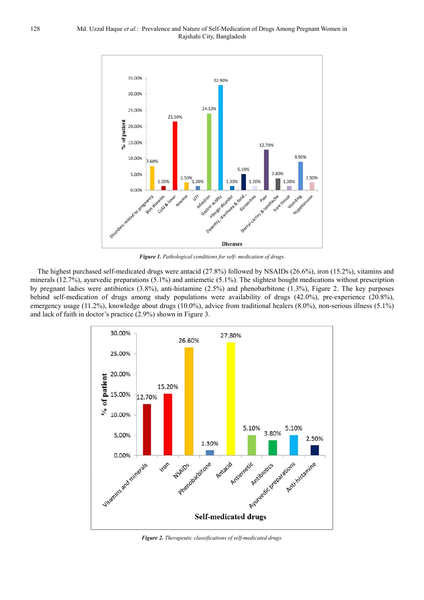

*Figure 1. Pathological conditions for self- medication of drugs.* 

The highest purchased self-medicated drugs were antacid (27.8%) followed by NSAIDs (26.6%), iron (15.2%), vitamins and minerals (12.7%), ayurvedic preparations (5.1%) and antiemetic (5.1%). The slightest bought medications without prescription by pregnant ladies were antibiotics (3.8%), anti-histamine (2.5%) and phenobarbitone (1.3%), Figure 2. The key purposes behind self-medication of drugs among study populations were availability of drugs (42.0%), pre-experience (20.8%), emergency usage (11.2%), knowledge about drugs (10.0%), advice from traditional healers (8.0%), non-serious illness (5.1%) and lack of faith in doctor's practice (2.9%) shown in Figure 3.



*Figure 2. Therapeutic classifications of self-medicated drugs.*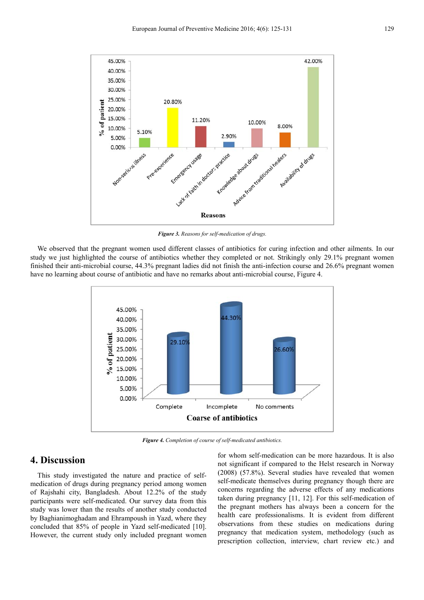

*Figure 3. Reasons for self-medication of drugs.* 

We observed that the pregnant women used different classes of antibiotics for curing infection and other ailments. In our study we just highlighted the course of antibiotics whether they completed or not. Strikingly only 29.1% pregnant women finished their anti-microbial course, 44.3% pregnant ladies did not finish the anti-infection course and 26.6% pregnant women have no learning about course of antibiotic and have no remarks about anti-microbial course, Figure 4.



*Figure 4. Completion of course of self-medicated antibiotics.*

### **4. Discussion**

This study investigated the nature and practice of selfmedication of drugs during pregnancy period among women of Rajshahi city, Bangladesh. About 12.2% of the study participants were self-medicated. Our survey data from this study was lower than the results of another study conducted by Baghianimoghadam and Ehrampoush in Yazd, where they concluded that 85% of people in Yazd self-medicated [10]. However, the current study only included pregnant women for whom self-medication can be more hazardous. It is also not significant if compared to the Helst research in Norway (2008) (57.8%). Several studies have revealed that women self-medicate themselves during pregnancy though there are concerns regarding the adverse effects of any medications taken during pregnancy [11, 12]. For this self-medication of the pregnant mothers has always been a concern for the health care professionalisms. It is evident from different observations from these studies on medications during pregnancy that medication system, methodology (such as prescription collection, interview, chart review etc.) and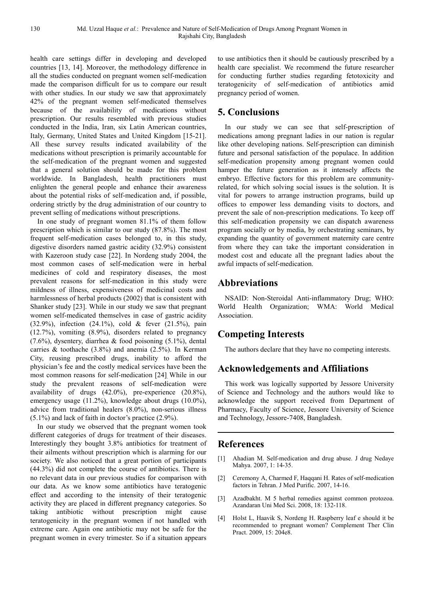health care settings differ in developing and developed countries [13, 14]. Moreover, the methodology difference in all the studies conducted on pregnant women self-medication made the comparison difficult for us to compare our result with other studies. In our study we saw that approximately 42% of the pregnant women self-medicated themselves because of the availability of medications without prescription. Our results resembled with previous studies conducted in the India, Iran, six Latin American countries, Italy, Germany, United States and United Kingdom [15-21]. All these survey results indicated availability of the medications without prescription is primarily accountable for the self-medication of the pregnant women and suggested that a general solution should be made for this problem worldwide. In Bangladesh, health practitioners must enlighten the general people and enhance their awareness about the potential risks of self-medication and, if possible, ordering strictly by the drug administration of our country to prevent selling of medications without prescriptions.

In one study of pregnant women 81.1% of them follow prescription which is similar to our study (87.8%). The most frequent self-medication cases belonged to, in this study, digestive disorders named gastric acidity (32.9%) consistent with Kazeroon study case [22]. In Nordeng study 2004, the most common cases of self-medication were in herbal medicines of cold and respiratory diseases, the most prevalent reasons for self-medication in this study were mildness of illness, expensiveness of medicinal costs and harmlessness of herbal products (2002) that is consistent with Shanker study [23]. While in our study we saw that pregnant women self-medicated themselves in case of gastric acidity (32.9%), infection (24.1%), cold & fever (21.5%), pain (12.7%), vomiting (8.9%), disorders related to pregnancy (7.6%), dysentery, diarrhea & food poisoning (5.1%), dental carries & toothache (3.8%) and anemia (2.5%). In Kerman City, reusing prescribed drugs, inability to afford the physician's fee and the costly medical services have been the most common reasons for self-medication [24]. While in our study the prevalent reasons of self-medication were availability of drugs (42.0%), pre-experience (20.8%), emergency usage (11.2%), knowledge about drugs (10.0%), advice from traditional healers (8.0%), non-serious illness (5.1%) and lack of faith in doctor's practice (2.9%).

In our study we observed that the pregnant women took different categories of drugs for treatment of their diseases. Interestingly they bought 3.8% antibiotics for treatment of their ailments without prescription which is alarming for our society. We also noticed that a great portion of participants (44.3%) did not complete the course of antibiotics. There is no relevant data in our previous studies for comparison with our data. As we know some antibiotics have teratogenic effect and according to the intensity of their teratogenic activity they are placed in different pregnancy categories. So taking antibiotic without prescription might cause teratogenicity in the pregnant women if not handled with extreme care. Again one antibiotic may not be safe for the pregnant women in every trimester. So if a situation appears

to use antibiotics then it should be cautiously prescribed by a health care specialist. We recommend the future researcher for conducting further studies regarding fetotoxicity and teratogenicity of self-medication of antibiotics amid pregnancy period of women.

### **5. Conclusions**

In our study we can see that self-prescription of medications among pregnant ladies in our nation is regular like other developing nations. Self-prescription can diminish future and personal satisfaction of the populace. In addition self-medication propensity among pregnant women could hamper the future generation as it intensely affects the embryo. Effective factors for this problem are communityrelated, for which solving social issues is the solution. It is vital for powers to arrange instruction programs, build up offices to empower less demanding visits to doctors, and prevent the sale of non-prescription medications. To keep off this self-medication propensity we can dispatch awareness program socially or by media, by orchestrating seminars, by expanding the quantity of government maternity care centre from where they can take the important consideration in modest cost and educate all the pregnant ladies about the awful impacts of self-medication.

# **Abbreviations**

NSAID: Non-Steroidal Anti-inflammatory Drug; WHO: World Health Organization; WMA: World Medical Association.

# **Competing Interests**

The authors declare that they have no competing interests.

# **Acknowledgements and Affiliations**

This work was logically supported by Jessore University of Science and Technology and the authors would like to acknowledge the support received from Department of Pharmacy, Faculty of Science, Jessore University of Science and Technology, Jessore-7408, Bangladesh.

### **References**

- [1] Ahadian M. Self-medication and drug abuse. J drug Nedaye Mahya. 2007, 1: 14-35.
- [2] Ceremony A, Charmed F, Haqqani H. Rates of self-medication factors in Tehran. J Med Purific. 2007, 14-16.
- [3] Azadbakht. M 5 herbal remedies against common protozoa. Azandaran Uni Med Sci. 2008, 18: 132-118.
- [4] Holst L, Haavik S, Nordeng H. Raspberry leaf e should it be recommended to pregnant women? Complement Ther Clin Pract. 2009, 15: 204e8.